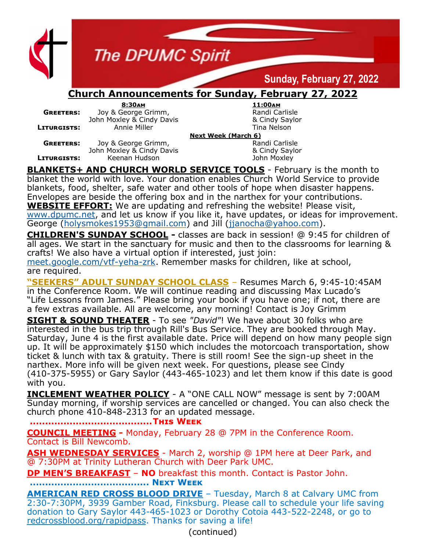

**The DPUMC Spirit** 

## **Sunday, February 27, 2022**

## **Church Announcements for Sunday, February 27, 2022**

|                    | 8:30AM                    | 11:00AM             |
|--------------------|---------------------------|---------------------|
| <b>GREETERS:</b>   | Joy & George Grimm,       | Randi Carlisle      |
|                    | John Moxley & Cindy Davis | & Cindy Saylo       |
| <b>LITURGISTS:</b> | Annie Miller              | Tina Nelson         |
|                    |                           | Next Week (March 6) |
| <b>GREETERS:</b>   | Joy & George Grimm,       | Randi Carlisle      |

**8:30am 11:00am Randi Carlisle**  $&$  Cindy Saylor **Lina Nelson** 

John Moxley & Cindy Davis & Cindy Saylor **LITURGISTS:** Keenan Hudson **Communist Communist Communist Communist Communist Communist Communist Communist Communist Communist Communist Communist Communist Communist Communist Communist Communist Communist Communist Com** 

**BLANKETS+ AND CHURCH WORLD SERVICE TOOLS** - February is the month to blanket the world with love. Your donation enables Church World Service to provide blankets, food, shelter, safe water and other tools of hope when disaster happens. Envelopes are beside the offering box and in the narthex for your contributions. **WEBSITE EFFORT:** We are updating and refreshing the website! Please visit, [www.dpumc.net,](http://www.dpumc.net) and let us know if you like it, have updates, or ideas for improvement. George [\(holysmokes1953@gmail.com\)](mailto:holysmokes1953@gmail.com) and Jill [\(jjanocha@yahoo.com\)](mailto:jjanocha@yahoo.com).

**CHILDREN'S SUNDAY SCHOOL -** classes are back in session! @ 9:45 for children of all ages. We start in the sanctuary for music and then to the classrooms for learning & crafts! We also have a virtual option if interested, just join:

[meet.google.com/vtf](https://www.dpumc.net/groups/childrens-ministries/sunday-school/meet.google.com/vtf-yeha-zrk)-yeha-zrk. Remember masks for children, like at school, are required.

**"SEEKERS" ADULT SUNDAY SCHOOL CLASS** – Resumes March 6, 9:45-10:45AM in the Conference Room. We will continue reading and discussing Max Lucado's "Life Lessons from James." Please bring your book if you have one; if not, there are a few extras available. All are welcome, any morning! Contact is Joy Grimm

**SIGHT & SOUND THEATER** - To see *"David"*! We have about 30 folks who are interested in the bus trip through Rill's Bus Service. They are booked through May. Saturday, June 4 is the first available date. Price will depend on how many people sign up. It will be approximately \$150 which includes the motorcoach transportation, show ticket & lunch with tax & gratuity. There is still room! See the sign-up sheet in the narthex. More info will be given next week. For questions, please see Cindy (410-375-5955) or Gary Saylor (443-465-1023) and let them know if this date is good with you.

**INCLEMENT WEATHER POLICY** - A "ONE CALL NOW" message is sent by 7:00AM Sunday morning, if worship services are cancelled or changed. You can also check the church phone 410-848-2313 for an updated message.

**........................................This Week**

**COUNCIL MEETING -** Monday, February 28 @ 7PM in the Conference Room. Contact is Bill Newcomb.

**ASH WEDNESDAY SERVICES** - March 2, worship @ 1PM here at Deer Park, and @ 7:30PM at Trinity Lutheran Church with Deer Park UMC.

**DP MEN'S BREAKFAST** – **NO** breakfast this month. Contact is Pastor John.

**....................................... Next Week**

**AMERICAN RED CROSS BLOOD DRIVE** – Tuesday, March 8 at Calvary UMC from 2:30-7:30PM, 3939 Gamber Road, Finksburg. Please call to schedule your life saving donation to Gary Saylor 443-465-1023 or Dorothy Cotoia 443-522-2248, or go to redcrossblood.org/rapidpass. Thanks for saving a life!

(continued)